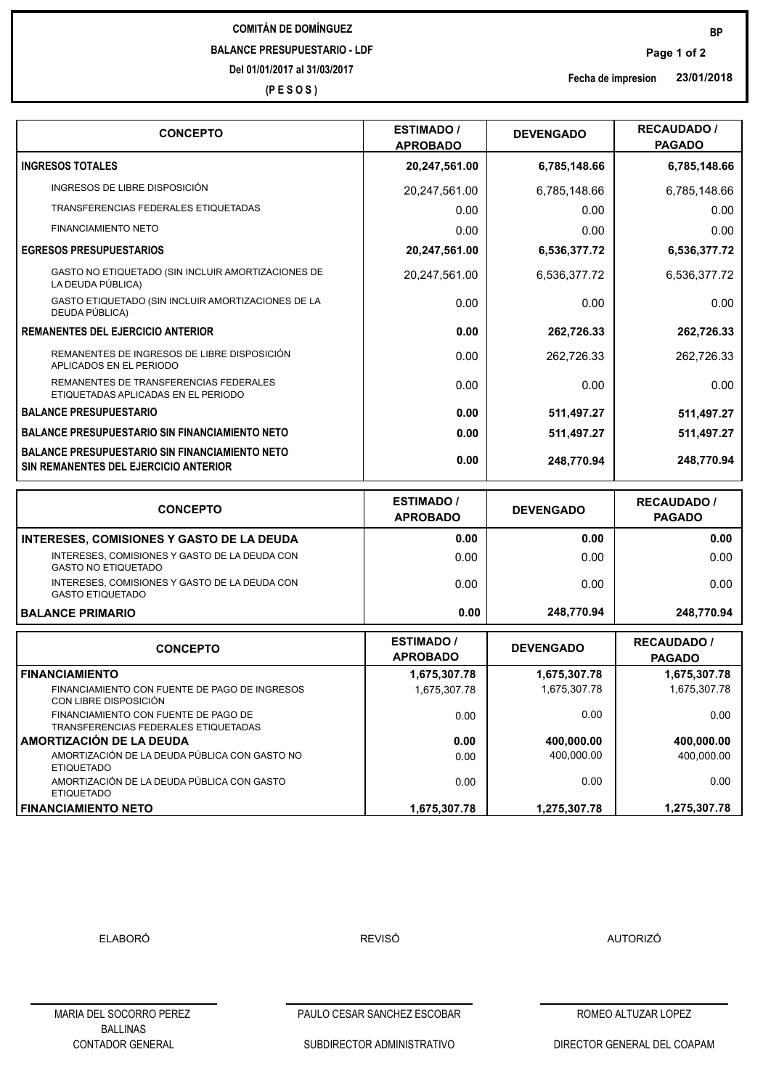## **COMITÁN DE DOMÍNGUEZ BALANCE PRESUPUESTARIO - LDF**

**Del 01/01/2017 al 31/03/2017**

**(P E S O S )**

**CONCEPTO ESTIMADO /** 

| <b>BALANCE PRIMARIO</b>                                                                                | 0.00                                 | 248,770.94       | 248,770.94                          |
|--------------------------------------------------------------------------------------------------------|--------------------------------------|------------------|-------------------------------------|
| <b>GASTO NO ETIQUETADO</b><br>INTERESES, COMISIONES Y GASTO DE LA DEUDA CON<br><b>GASTO ETIQUETADO</b> | 0.00                                 | 0.00<br>0.00     | 0.00                                |
| <b>INTERESES, COMISIONES Y GASTO DE LA DEUDA</b><br>INTERESES, COMISIONES Y GASTO DE LA DEUDA CON      | 0.00<br>0.00                         | 0.00             | 0.00<br>0.00                        |
| <b>CONCEPTO</b>                                                                                        | <b>ESTIMADO /</b><br><b>APROBADO</b> | <b>DEVENGADO</b> | <b>RECAUDADO /</b><br><b>PAGADO</b> |
| SIN REMANENTES DEL EJERCICIO ANTERIOR                                                                  |                                      |                  |                                     |
| I BALANCE PRESUPUESTARIO SIN FINANCIAMIENTO NETO                                                       | 0.00                                 | 248,770.94       | 248,770.94                          |
| I BALANCE PRESUPUESTARIO SIN FINANCIAMIENTO NETO                                                       | 0.00                                 | 511,497.27       | 511,497.27                          |
| I BALANCE PRESUPUESTARIO                                                                               | 0.00                                 | 511,497.27       | 511,497.27                          |
| REMANENTES DE TRANSFERENCIAS FEDERALES<br>ETIQUETADAS APLICADAS EN EL PERIODO                          | 0.00                                 | 0.00             | 0.00                                |
| REMANENTES DE INGRESOS DE LIBRE DISPOSICIÓN<br>APLICADOS EN EL PERIODO                                 | 0.00                                 | 262,726.33       | 262,726.33                          |
| I REMANENTES DEL EJERCICIO ANTERIOR                                                                    | 0.00                                 | 262,726.33       | 262,726.33                          |
| GASTO ETIQUETADO (SIN INCLUIR AMORTIZACIONES DE LA<br>DEUDA PÚBLICA)                                   | 0.00                                 | 0.00             | 0.00                                |
| GASTO NO ETIQUETADO (SIN INCLUIR AMORTIZACIONES DE<br>LA DEUDA PÚBLICA)                                | 20,247,561.00                        | 6,536,377.72     | 6,536,377.72                        |
| <b>EGRESOS PRESUPUESTARIOS</b>                                                                         | 20,247,561.00                        | 6,536,377.72     | 6,536,377.72                        |
| <b>FINANCIAMIENTO NETO</b>                                                                             | 0.00                                 | 0.00             | 0.00                                |
| TRANSFERENCIAS FEDERALES ETIQUETADAS                                                                   | 0.00                                 | 0.00             | 0.00                                |

**INGRESOS TOTALES 20,247,561.00 6,785,148.66 6,785,148.66**

INGRESOS DE LIBRE DISPOSICIÓN **20,247,561.00** 6,785,148.66 6,785,148.66

**APROBADO**

| <b>CONCEPTO</b>                                                              | <b>ESTIMADO</b> /<br><b>APROBADO</b> | <b>DEVENGADO</b> | <b>RECAUDADO</b> /<br><b>PAGADO</b> |  |
|------------------------------------------------------------------------------|--------------------------------------|------------------|-------------------------------------|--|
| <b>FINANCIAMIENTO</b>                                                        | 1,675,307.78                         | 1,675,307.78     | 1,675,307.78                        |  |
| FINANCIAMIENTO CON FUENTE DE PAGO DE INGRESOS<br>CON LIBRE DISPOSICIÓN       | 1.675.307.78                         | 1,675,307.78     | 1,675,307.78                        |  |
| FINANCIAMIENTO CON FUENTE DE PAGO DE<br>TRANSFERENCIAS FEDERALES ETIQUETADAS | 0.00                                 | 0.00             | 0.00                                |  |
| <b>AMORTIZACIÓN DE LA DEUDA</b>                                              | 0.00                                 | 400,000.00       | 400,000.00                          |  |
| AMORTIZACIÓN DE LA DEUDA PÚBLICA CON GASTO NO<br><b>ETIQUETADO</b>           | 0.00                                 | 400,000.00       | 400,000.00                          |  |
| AMORTIZACIÓN DE LA DEUDA PÚBLICA CON GASTO<br><b>ETIQUETADO</b>              | 0.00                                 | 0.00             | 0.00                                |  |
| I FINANCIAMIENTO NETO                                                        | 1,675,307.78                         | 1,275,307.78     | 1,275,307.78                        |  |

ELABORÓ REVISÓ AUTORIZÓ

PAULO CESAR SANCHEZ ESCOBAR ROMEO ALTUZAR LOPEZ

SUBDIRECTOR ADMINISTRATIVO

**PAGADO**

**23/01/2018 Fecha de impresion**

**DEVENGADO RECAUDADO /**